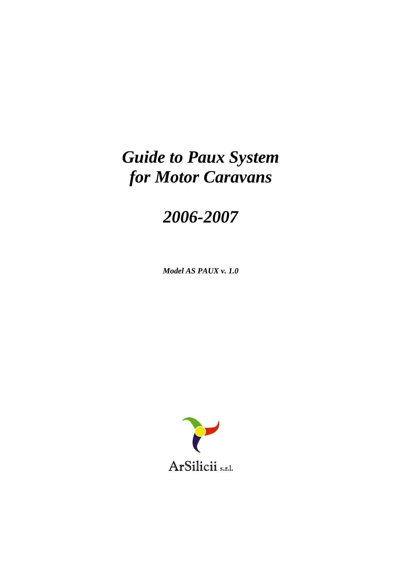# *Guide to Paux System for Motor Caravans*

# *2006-2007*

*Model AS PAUX v. 1.0* 

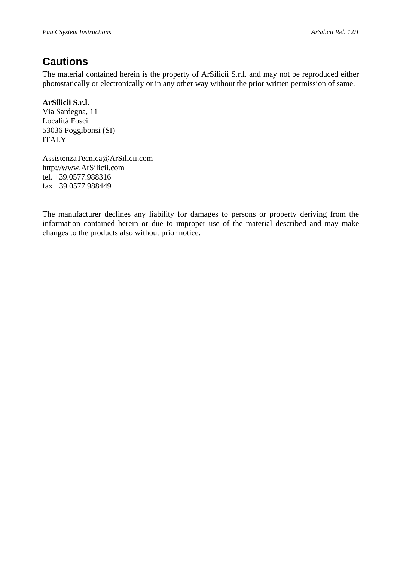# **Cautions**

The material contained herein is the property of ArSilicii S.r.l. and may not be reproduced either photostatically or electronically or in any other way without the prior written permission of same.

#### **ArSilicii S.r.l.**

Via Sardegna, 11 Località Fosci 53036 Poggibonsi (SI) ITALY

AssistenzaTecnica@ArSilicii.com http://www.ArSilicii.com tel. +39.0577.988316 fax +39.0577.988449

The manufacturer declines any liability for damages to persons or property deriving from the information contained herein or due to improper use of the material described and may make changes to the products also without prior notice.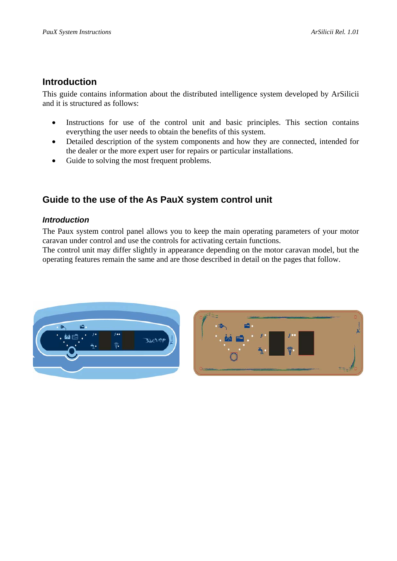#### **Introduction**

This guide contains information about the distributed intelligence system developed by ArSilicii and it is structured as follows:

- Instructions for use of the control unit and basic principles. This section contains everything the user needs to obtain the benefits of this system.
- Detailed description of the system components and how they are connected, intended for the dealer or the more expert user for repairs or particular installations.
- Guide to solving the most frequent problems.

### **Guide to the use of the As PauX system control unit**

#### *Introduction*

The Paux system control panel allows you to keep the main operating parameters of your motor caravan under control and use the controls for activating certain functions.

The control unit may differ slightly in appearance depending on the motor caravan model, but the operating features remain the same and are those described in detail on the pages that follow.



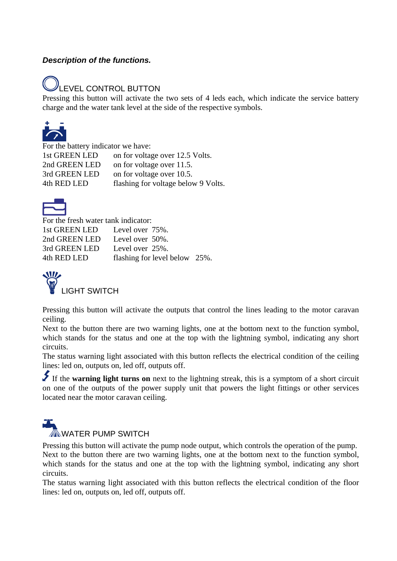#### *Description of the functions.*

# LEVEL CONTROL BUTTON

Pressing this button will activate the two sets of 4 leds each, which indicate the service battery charge and the water tank level at the side of the respective symbols.



 For the battery indicator we have: 1st GREEN LED on for voltage over 12.5 Volts. 2nd GREEN LED on for voltage over 11.5. 3rd GREEN LED on for voltage over 10.5. 4th RED LED flashing for voltage below 9 Volts.



For the fresh water tank indicator: 1st GREEN LED Level over 75%. 2nd GREEN LED Level over 50%. 3rd GREEN LED Level over 25%. 4th RED LED flashing for level below 25%.



Pressing this button will activate the outputs that control the lines leading to the motor caravan ceiling.

Next to the button there are two warning lights, one at the bottom next to the function symbol, which stands for the status and one at the top with the lightning symbol, indicating any short circuits.

The status warning light associated with this button reflects the electrical condition of the ceiling lines: led on, outputs on, led off, outputs off.

 If the **warning light turns on** next to the lightning streak, this is a symptom of a short circuit on one of the outputs of the power supply unit that powers the light fittings or other services located near the motor caravan ceiling.

# $\mathbb Z$  WATER PUMP SWITCH

Pressing this button will activate the pump node output, which controls the operation of the pump. Next to the button there are two warning lights, one at the bottom next to the function symbol, which stands for the status and one at the top with the lightning symbol, indicating any short circuits.

The status warning light associated with this button reflects the electrical condition of the floor lines: led on, outputs on, led off, outputs off.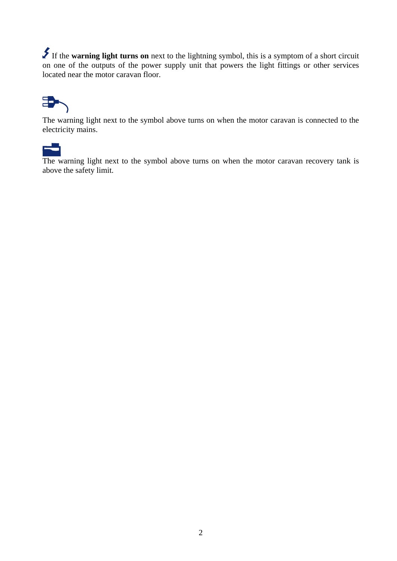If the **warning light turns on** next to the lightning symbol, this is a symptom of a short circuit on one of the outputs of the power supply unit that powers the light fittings or other services located near the motor caravan floor.



The warning light next to the symbol above turns on when the motor caravan is connected to the electricity mains.



The warning light next to the symbol above turns on when the motor caravan recovery tank is above the safety limit.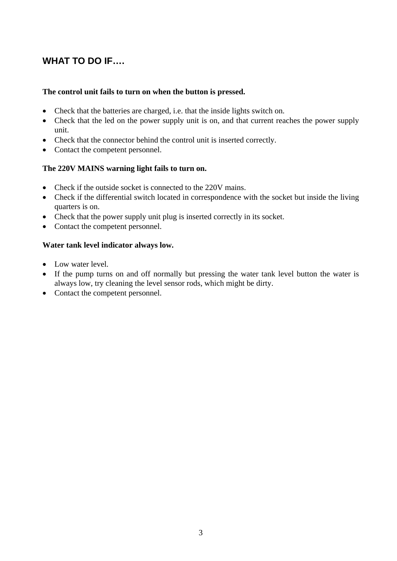### **WHAT TO DO IF….**

#### **The control unit fails to turn on when the button is pressed.**

- Check that the batteries are charged, i.e. that the inside lights switch on.
- Check that the led on the power supply unit is on, and that current reaches the power supply unit.
- Check that the connector behind the control unit is inserted correctly.
- Contact the competent personnel.

#### **The 220V MAINS warning light fails to turn on.**

- Check if the outside socket is connected to the 220V mains.
- Check if the differential switch located in correspondence with the socket but inside the living quarters is on.
- Check that the power supply unit plug is inserted correctly in its socket.
- Contact the competent personnel.

#### **Water tank level indicator always low.**

- Low water level.
- If the pump turns on and off normally but pressing the water tank level button the water is always low, try cleaning the level sensor rods, which might be dirty.
- Contact the competent personnel.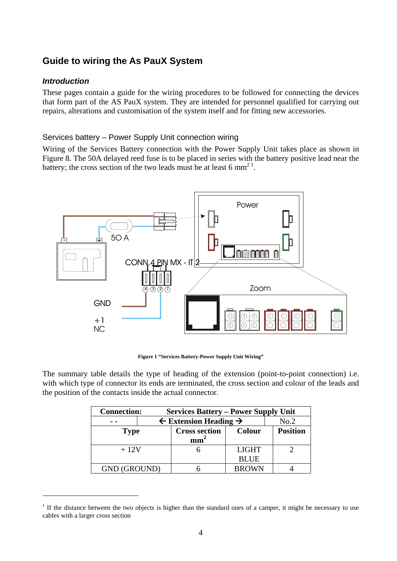### **Guide to wiring the As PauX System**

#### *Introduction*

<u>.</u>

These pages contain a guide for the wiring procedures to be followed for connecting the devices that form part of the AS PauX system. They are intended for personnel qualified for carrying out repairs, alterations and customisation of the system itself and for fitting new accessories.

#### Services battery – Power Supply Unit connection wiring

Wiring of the Services Battery connection with the Power Supply Unit takes place as shown in Figure 8. The 50A delayed reed fuse is to be placed in series with the battery positive lead near the battery; the cross section of the two leads must be at least 6 mm<sup>21</sup>.



**Figure 1 "Services Battery-Power Supply Unit Wiring"** 

The summary table details the type of heading of the extension (point-to-point connection) i.e. with which type of connector its ends are terminated, the cross section and colour of the leads and the position of the contacts inside the actual connector.

| <b>Connection:</b>  |  | <b>Services Battery – Power Supply Unit</b>  |               |                 |  |  |
|---------------------|--|----------------------------------------------|---------------|-----------------|--|--|
|                     |  | $\leftarrow$ Extension Heading $\rightarrow$ |               | No.2            |  |  |
| <b>Type</b>         |  | <b>Cross section</b>                         | <b>Colour</b> | <b>Position</b> |  |  |
|                     |  |                                              |               |                 |  |  |
| $+12V$              |  |                                              | <b>LIGHT</b>  |                 |  |  |
|                     |  |                                              | <b>BLUE</b>   |                 |  |  |
| <b>GND (GROUND)</b> |  |                                              | <b>BROWN</b>  |                 |  |  |

 $1$  If the distance between the two objects is higher than the standard ones of a camper, it might be necessary to use cables with a larger cross section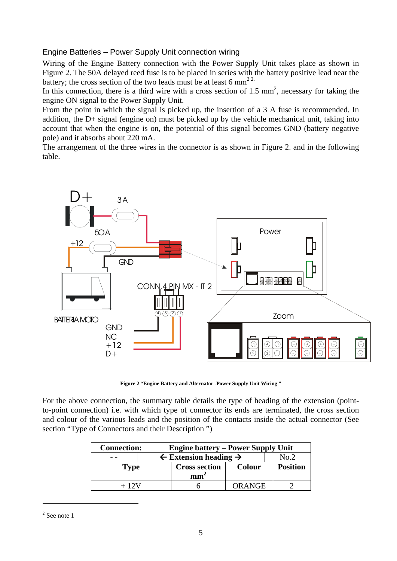#### Engine Batteries – Power Supply Unit connection wiring

Wiring of the Engine Battery connection with the Power Supply Unit takes place as shown in Figure 2. The 50A delayed reed fuse is to be placed in series with the battery positive lead near the battery; the cross section of the two leads must be at least 6 mm<sup>22.</sup>

In this connection, there is a third wire with a cross section of 1.5  $\text{mm}^2$ , necessary for taking the engine ON signal to the Power Supply Unit.

From the point in which the signal is picked up, the insertion of a 3 A fuse is recommended. In addition, the D+ signal (engine on) must be picked up by the vehicle mechanical unit, taking into account that when the engine is on, the potential of this signal becomes GND (battery negative pole) and it absorbs about 220 mA.

The arrangement of the three wires in the connector is as shown in Figure 2. and in the following table.



**Figure 2 "Engine Battery and Alternator -Power Supply Unit Wiring "** 

For the above connection, the summary table details the type of heading of the extension (pointto-point connection) i.e. with which type of connector its ends are terminated, the cross section and colour of the various leads and the position of the contacts inside the actual connector (See section "Type of Connectors and their Description ")

| <b>Connection:</b> |  | <b>Engine battery – Power Supply Unit</b>            |               |                 |  |  |
|--------------------|--|------------------------------------------------------|---------------|-----------------|--|--|
|                    |  | $\leftarrow$ Extension heading $\rightarrow$<br>No.2 |               |                 |  |  |
| Type               |  | <b>Cross section</b>                                 | <b>Colour</b> | <b>Position</b> |  |  |
|                    |  | mm                                                   |               |                 |  |  |
|                    |  |                                                      | ORANGE        |                 |  |  |

 $2$  See note 1

1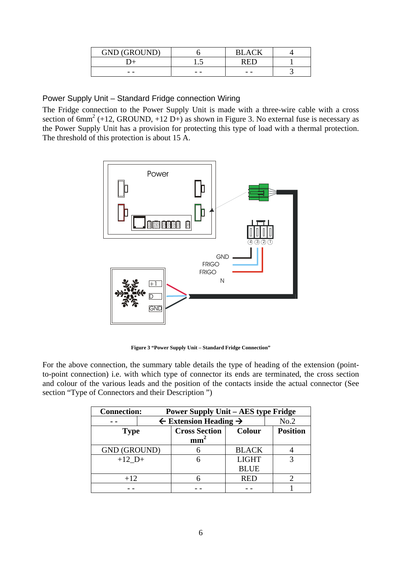| <b>GND (GROUND)</b> |     | $^+$ $\,$ |  |
|---------------------|-----|-----------|--|
|                     |     |           |  |
| $ -$                | - - | $ -$      |  |

Power Supply Unit – Standard Fridge connection Wiring

The Fridge connection to the Power Supply Unit is made with a three-wire cable with a cross section of  $6mm^2$  (+12, GROUND, +12 D+) as shown in Figure 3. No external fuse is necessary as the Power Supply Unit has a provision for protecting this type of load with a thermal protection. The threshold of this protection is about 15 A.



**Figure 3 "Power Supply Unit – Standard Fridge Connection"** 

For the above connection, the summary table details the type of heading of the extension (pointto-point connection) i.e. with which type of connector its ends are terminated, the cross section and colour of the various leads and the position of the contacts inside the actual connector (See section "Type of Connectors and their Description ")

| <b>Connection:</b><br><b>Power Supply Unit – AES type Fridge</b> |                                                      |                      |              |                 |  |  |
|------------------------------------------------------------------|------------------------------------------------------|----------------------|--------------|-----------------|--|--|
|                                                                  | $\leftarrow$ Extension Heading $\rightarrow$<br>No.2 |                      |              |                 |  |  |
| <b>Type</b>                                                      |                                                      | <b>Cross Section</b> | Colour       | <b>Position</b> |  |  |
|                                                                  |                                                      | mm                   |              |                 |  |  |
| <b>GND (GROUND)</b>                                              |                                                      |                      | <b>BLACK</b> |                 |  |  |
| $+12$ D+                                                         |                                                      |                      | <b>LIGHT</b> |                 |  |  |
|                                                                  |                                                      |                      | <b>BLUE</b>  |                 |  |  |
| $+12$                                                            |                                                      |                      | RED          |                 |  |  |
|                                                                  |                                                      |                      |              |                 |  |  |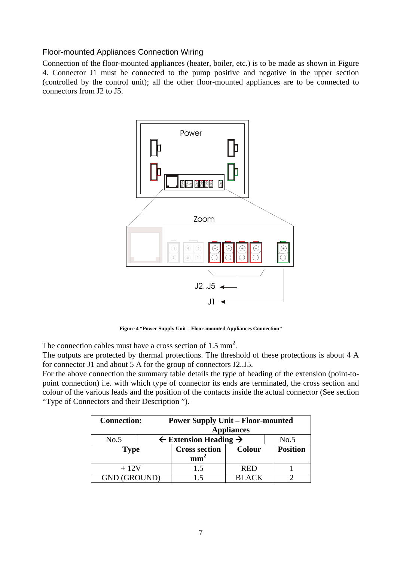#### Floor-mounted Appliances Connection Wiring

Connection of the floor-mounted appliances (heater, boiler, etc.) is to be made as shown in Figure 4. Connector J1 must be connected to the pump positive and negative in the upper section (controlled by the control unit); all the other floor-mounted appliances are to be connected to connectors from J2 to J5.



**Figure 4 "Power Supply Unit – Floor-mounted Appliances Connection"** 

The connection cables must have a cross section of  $1.5 \text{ mm}^2$ .

The outputs are protected by thermal protections. The threshold of these protections is about 4 A for connector J1 and about 5 A for the group of connectors J2..J5.

For the above connection the summary table details the type of heading of the extension (point-topoint connection) i.e. with which type of connector its ends are terminated, the cross section and colour of the various leads and the position of the contacts inside the actual connector (See section "Type of Connectors and their Description ").

| <b>Connection:</b>  |  | <b>Power Supply Unit - Floor-mounted</b>     |               |                 |  |
|---------------------|--|----------------------------------------------|---------------|-----------------|--|
|                     |  |                                              |               |                 |  |
| No.5                |  | $\leftarrow$ Extension Heading $\rightarrow$ |               | No.5            |  |
| <b>Type</b>         |  | <b>Cross section</b>                         | <b>Colour</b> | <b>Position</b> |  |
|                     |  | mm <sub>1</sub>                              |               |                 |  |
| $+12V$              |  | 1.5                                          | <b>RED</b>    |                 |  |
| <b>GND (GROUND)</b> |  |                                              | <b>BLACK</b>  |                 |  |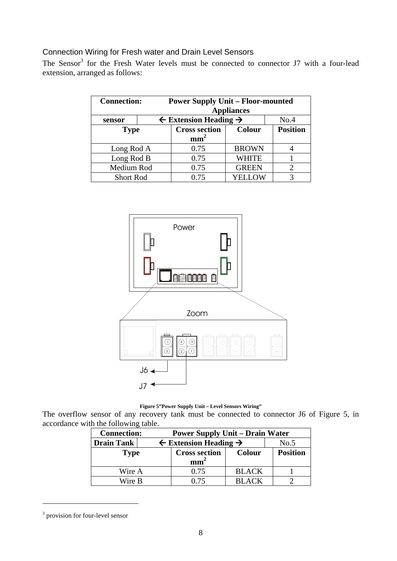#### Connection Wiring for Fresh water and Drain Level Sensors

The Sensor<sup>3</sup> for the Fresh Water levels must be connected to connector J7 with a four-lead extension, arranged as follows:

| <b>Connection:</b> |             | <b>Power Supply Unit – Floor-mounted</b><br><b>Appliances</b><br>$\leftarrow$ Extension Heading $\rightarrow$<br>No.4 |               |                 |  |
|--------------------|-------------|-----------------------------------------------------------------------------------------------------------------------|---------------|-----------------|--|
| sensor             |             | <b>Cross section</b>                                                                                                  | <b>Colour</b> | <b>Position</b> |  |
|                    | <b>Type</b> |                                                                                                                       |               |                 |  |
| Long Rod A         |             | 0.75                                                                                                                  | <b>BROWN</b>  |                 |  |
|                    | Long Rod B  |                                                                                                                       | WHITE         |                 |  |
| Medium Rod         |             | 0.75<br><b>GREEN</b>                                                                                                  |               |                 |  |
| <b>Short Rod</b>   |             | 0.75                                                                                                                  | YELLOW        |                 |  |



**Figure 5"Power Supply Unit – Level Sensors Wiring"** 

The overflow sensor of any recovery tank must be connected to connector J6 of Figure 5, in accordance with the following table.

| <b>Connection:</b> | <b>Power Supply Unit – Drain Water</b>               |               |                 |  |  |
|--------------------|------------------------------------------------------|---------------|-----------------|--|--|
| Drain Tank         | $\leftarrow$ Extension Heading $\rightarrow$<br>No.5 |               |                 |  |  |
| <b>Type</b>        | <b>Cross section</b><br>mm <sup>2</sup>              | <b>Colour</b> | <b>Position</b> |  |  |
| Wire A             | 0.75                                                 | <b>BLACK</b>  |                 |  |  |
| Wire B             | በ 75                                                 | <b>BLACK</b>  |                 |  |  |

<sup>&</sup>lt;sup>3</sup> provision for four-level sensor

1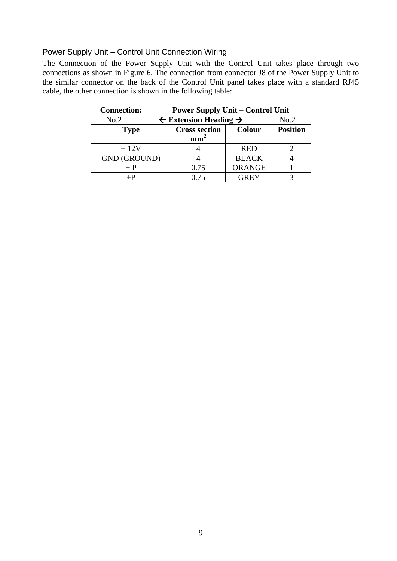#### Power Supply Unit – Control Unit Connection Wiring

The Connection of the Power Supply Unit with the Control Unit takes place through two connections as shown in Figure 6. The connection from connector J8 of the Power Supply Unit to the similar connector on the back of the Control Unit panel takes place with a standard RJ45 cable, the other connection is shown in the following table:

| <b>Connection:</b>  |  | <b>Power Supply Unit – Control Unit</b>      |               |                 |  |  |
|---------------------|--|----------------------------------------------|---------------|-----------------|--|--|
| No.2                |  | $\leftarrow$ Extension Heading $\rightarrow$ |               | No.2            |  |  |
| <b>Type</b>         |  | <b>Cross section</b>                         | <b>Colour</b> | <b>Position</b> |  |  |
|                     |  | mm                                           |               |                 |  |  |
| $+12V$              |  |                                              | <b>RED</b>    |                 |  |  |
| <b>GND (GROUND)</b> |  |                                              | <b>BLACK</b>  |                 |  |  |
| $+$ P               |  | 0.75                                         | <b>ORANGE</b> |                 |  |  |
| $+P$                |  | 0.75                                         | <b>GREY</b>   |                 |  |  |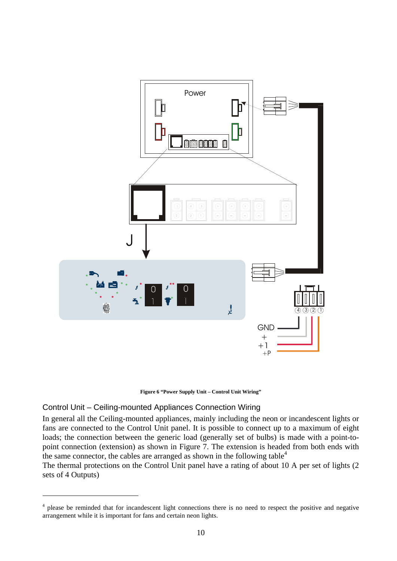

**Figure 6 "Power Supply Unit – Control Unit Wiring"** 

#### Control Unit – Ceiling-mounted Appliances Connection Wiring

<u>.</u>

In general all the Ceiling-mounted appliances, mainly including the neon or incandescent lights or fans are connected to the Control Unit panel. It is possible to connect up to a maximum of eight loads; the connection between the generic load (generally set of bulbs) is made with a point-topoint connection (extension) as shown in Figure 7. The extension is headed from both ends with the same connector, the cables are arranged as shown in the following table<sup>4</sup>

The thermal protections on the Control Unit panel have a rating of about 10 A per set of lights (2 sets of 4 Outputs)

<sup>&</sup>lt;sup>4</sup> please be reminded that for incandescent light connections there is no need to respect the positive and negative arrangement while it is important for fans and certain neon lights.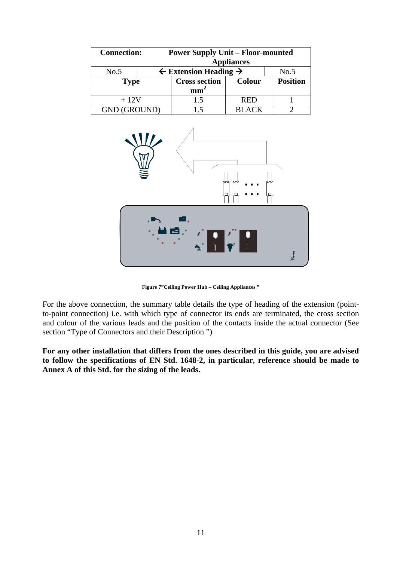|                     | <b>Connection:</b><br><b>Power Supply Unit – Floor-mounted</b><br><b>Appliances</b> |                                              |               |                 |  |
|---------------------|-------------------------------------------------------------------------------------|----------------------------------------------|---------------|-----------------|--|
| No.5                |                                                                                     | $\leftarrow$ Extension Heading $\rightarrow$ |               |                 |  |
|                     | <b>Type</b>                                                                         |                                              | <b>Colour</b> | <b>Position</b> |  |
|                     |                                                                                     | mm                                           |               |                 |  |
| $+12V$              |                                                                                     | 1.5                                          | <b>RED</b>    |                 |  |
| <b>GND (GROUND)</b> |                                                                                     |                                              | <b>BLACK</b>  |                 |  |



**Figure 7"Ceiling Power Hub – Ceiling Appliances "** 

For the above connection, the summary table details the type of heading of the extension (pointto-point connection) i.e. with which type of connector its ends are terminated, the cross section and colour of the various leads and the position of the contacts inside the actual connector (See section "Type of Connectors and their Description ")

**For any other installation that differs from the ones described in this guide, you are advised to follow the specifications of EN Std. 1648-2, in particular, reference should be made to Annex A of this Std. for the sizing of the leads.**